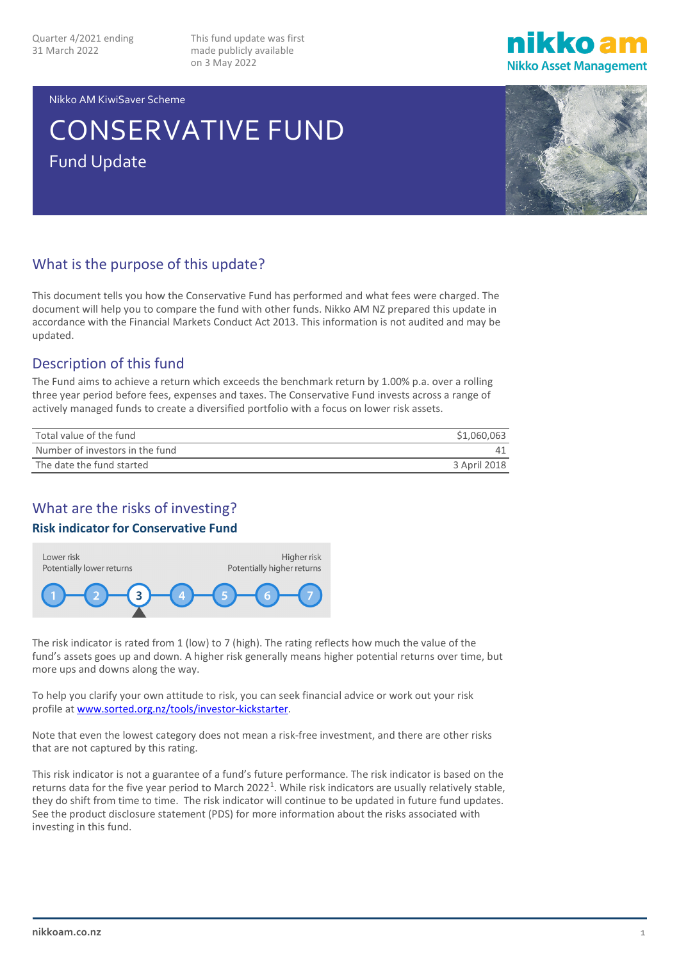This fund update was first made publicly available on 3 May 2022



Nikko AM KiwiSaver Scheme

# CONSERVATIVE FUND Fund Update



## What is the purpose of this update?

This document tells you how the Conservative Fund has performed and what fees were charged. The document will help you to compare the fund with other funds. Nikko AM NZ prepared this update in accordance with the Financial Markets Conduct Act 2013. This information is not audited and may be updated.

#### Description of this fund

The Fund aims to achieve a return which exceeds the benchmark return by 1.00% p.a. over a rolling three year period before fees, expenses and taxes. The Conservative Fund invests across a range of actively managed funds to create a diversified portfolio with a focus on lower risk assets.

| Total value of the fund         | \$1,060,063  |
|---------------------------------|--------------|
| Number of investors in the fund |              |
| The date the fund started       | 3 April 2018 |

### What are the risks of investing?

#### **Risk indicator for Conservative Fund**



The risk indicator is rated from 1 (low) to 7 (high). The rating reflects how much the value of the fund's assets goes up and down. A higher risk generally means higher potential returns over time, but more ups and downs along the way.

To help you clarify your own attitude to risk, you can seek financial advice or work out your risk profile a[t www.sorted.org.nz/tools/investor-kickstarter.](http://www.sorted.org.nz/tools/investor-kickstarter)

Note that even the lowest category does not mean a risk-free investment, and there are other risks that are not captured by this rating.

This risk indicator is not a guarantee of a fund's future performance. The risk indicator is based on the returns data for the five year period to March 2022<sup>[1](#page-4-0)</sup>. While risk indicators are usually relatively stable, they do shift from time to time. The risk indicator will continue to be updated in future fund updates. See the product disclosure statement (PDS) for more information about the risks associated with investing in this fund.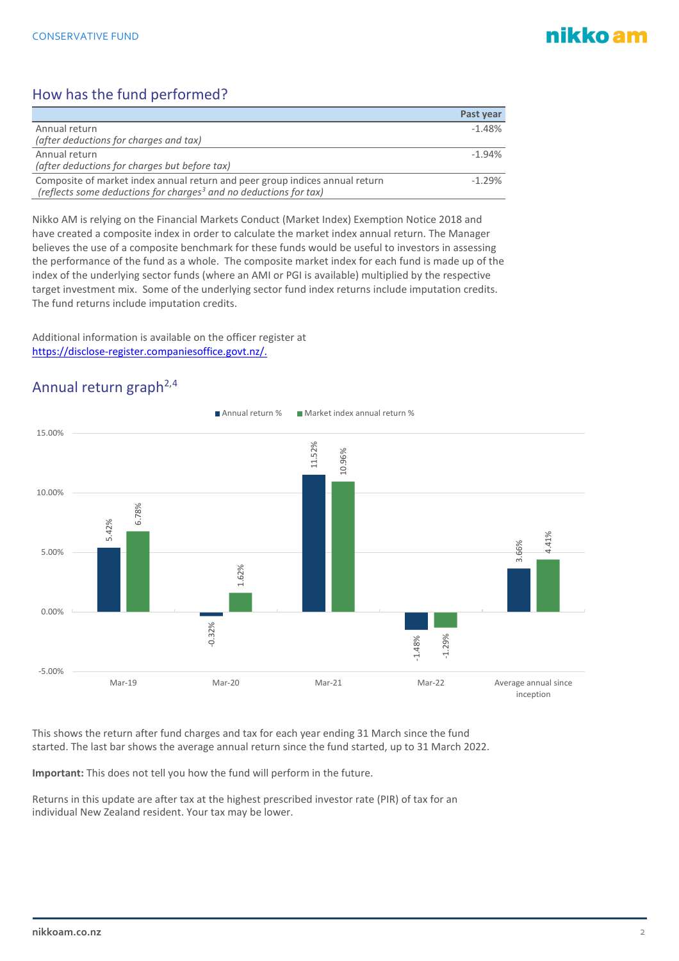## nikko am

## How has the fund performed?

|                                                                                                                                                               | Past year |
|---------------------------------------------------------------------------------------------------------------------------------------------------------------|-----------|
| Annual return                                                                                                                                                 | $-1.48%$  |
| (after deductions for charges and tax)                                                                                                                        |           |
| Annual return                                                                                                                                                 | $-1.94%$  |
| (after deductions for charges but before tax)                                                                                                                 |           |
| Composite of market index annual return and peer group indices annual return<br>(reflects some deductions for charges <sup>3</sup> and no deductions for tax) | $-1.29%$  |

Nikko AM is relying on the Financial Markets Conduct (Market Index) Exemption Notice 2018 and have created a composite index in order to calculate the market index annual return. The Manager believes the use of a composite benchmark for these funds would be useful to investors in assessing the performance of the fund as a whole. The composite market index for each fund is made up of the index of the underlying sector funds (where an AMI or PGI is available) multiplied by the respective target investment mix. Some of the underlying sector fund index returns include imputation credits. The fund returns include imputation credits.

Additional information is available on the officer register at [https://disclose-register.companiesoffice.govt.nz/.](https://disclose-register.companiesoffice.govt.nz/)

## Annual return graph<sup>2,[4](#page-4-3)</sup>



This shows the return after fund charges and tax for each year ending 31 March since the fund started. The last bar shows the average annual return since the fund started, up to 31 March 2022.

**Important:** This does not tell you how the fund will perform in the future.

Returns in this update are after tax at the highest prescribed investor rate (PIR) of tax for an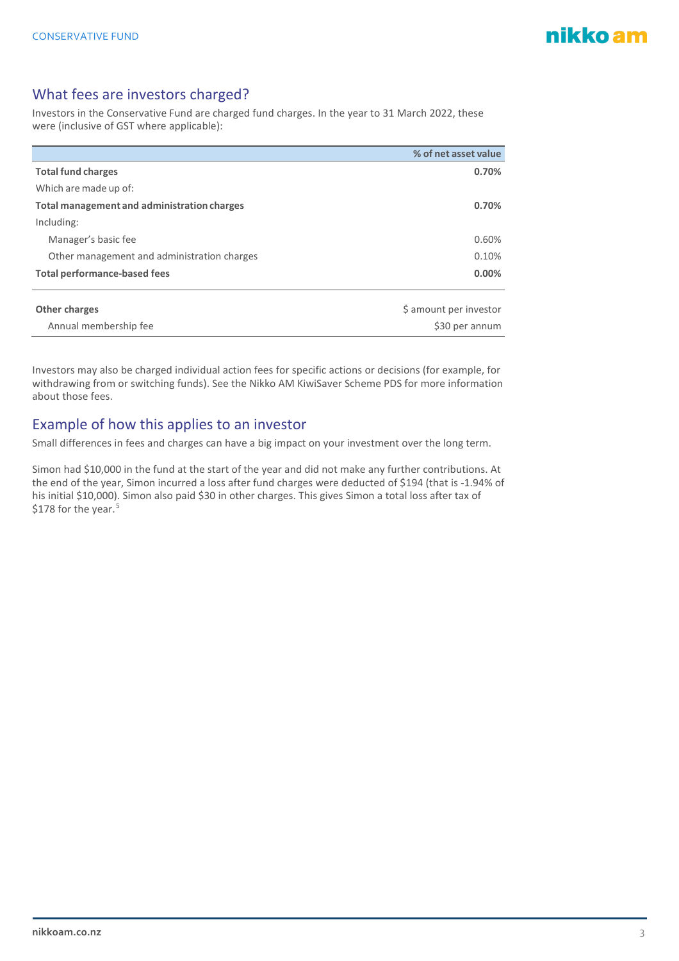#### What fees are investors charged?

Investors in the Conservative Fund are charged fund charges. In the year to 31 March 2022, these were (inclusive of GST where applicable):

|                                             | % of net asset value   |
|---------------------------------------------|------------------------|
| <b>Total fund charges</b>                   | 0.70%                  |
| Which are made up of:                       |                        |
| Total management and administration charges | 0.70%                  |
| Including:                                  |                        |
| Manager's basic fee                         | 0.60%                  |
| Other management and administration charges | 0.10%                  |
| <b>Total performance-based fees</b>         | 0.00%                  |
|                                             |                        |
| Other charges                               | \$ amount per investor |
| Annual membership fee                       | \$30 per annum         |

Investors may also be charged individual action fees for specific actions or decisions (for example, for withdrawing from or switching funds). See the Nikko AM KiwiSaver Scheme PDS for more information about those fees.

#### Example of how this applies to an investor

Small differences in fees and charges can have a big impact on your investment over the long term.

Simon had \$10,000 in the fund at the start of the year and did not make any further contributions. At the end of the year, Simon incurred a loss after fund charges were deducted of \$194 (that is -1.94% of his initial \$10,000). Simon also paid \$30 in other charges. This gives Simon a total loss after tax of \$178 for the year. [5](#page-4-4)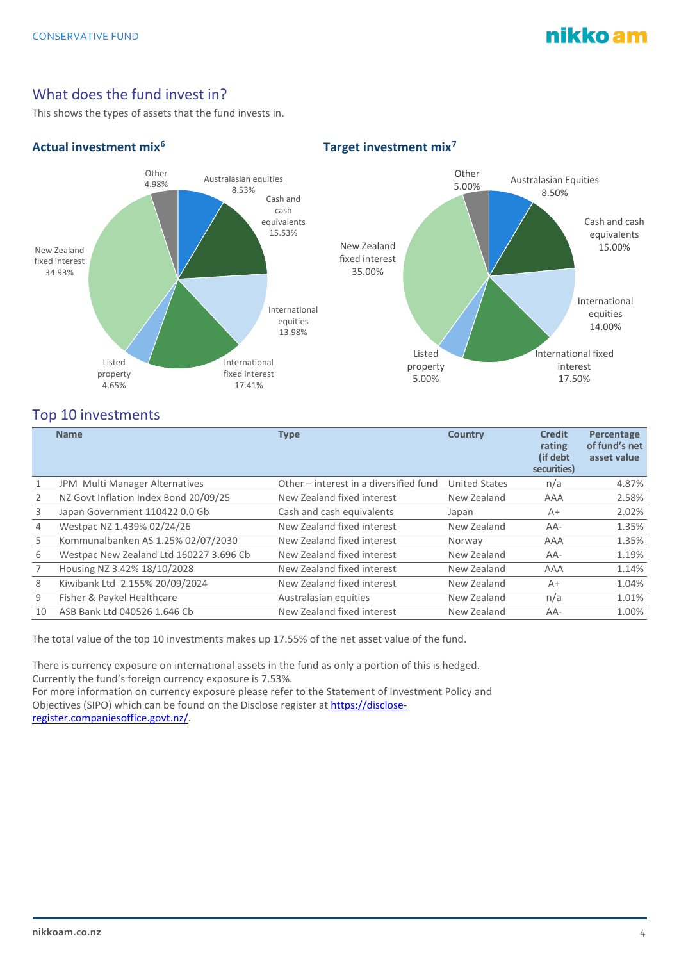## nikko am

## What does the fund invest in?

This shows the types of assets that the fund invests in.

#### **Actual investment mix[6](#page-4-5) Target investment mix[7](#page-4-6)**



#### Top 10 investments

|    | <b>Name</b>                             | <b>Type</b>                            | <b>Country</b>       | <b>Credit</b><br>rating<br>(if debt)<br>securities) | Percentage<br>of fund's net<br>asset value |
|----|-----------------------------------------|----------------------------------------|----------------------|-----------------------------------------------------|--------------------------------------------|
| 1  | JPM Multi Manager Alternatives          | Other – interest in a diversified fund | <b>United States</b> | n/a                                                 | 4.87%                                      |
| 2  | NZ Govt Inflation Index Bond 20/09/25   | New Zealand fixed interest             | New Zealand          | AAA                                                 | 2.58%                                      |
| 3  | Japan Government 110422 0.0 Gb          | Cash and cash equivalents              | Japan                | A+                                                  | 2.02%                                      |
| 4  | Westpac NZ 1.439% 02/24/26              | New Zealand fixed interest             | New Zealand          | $AA-$                                               | 1.35%                                      |
| 5  | Kommunalbanken AS 1.25% 02/07/2030      | New Zealand fixed interest             | Norway               | AAA                                                 | 1.35%                                      |
| 6  | Westpac New Zealand Ltd 160227 3.696 Cb | New Zealand fixed interest             | New Zealand          | AA-                                                 | 1.19%                                      |
|    | Housing NZ 3.42% 18/10/2028             | New Zealand fixed interest             | New Zealand          | AAA                                                 | 1.14%                                      |
| 8  | Kiwibank Ltd 2.155% 20/09/2024          | New Zealand fixed interest             | New Zealand          | $A+$                                                | 1.04%                                      |
| 9  | Fisher & Paykel Healthcare              | Australasian equities                  | New Zealand          | n/a                                                 | 1.01%                                      |
| 10 | ASB Bank Ltd 040526 1.646 Cb            | New Zealand fixed interest             | New Zealand          | $AA-$                                               | 1.00%                                      |

The total value of the top 10 investments makes up 17.55% of the net asset value of the fund.

There is currency exposure on international assets in the fund as only a portion of this is hedged. Currently the fund's foreign currency exposure is 7.53%.

For more information on currency exposure please refer to the Statement of Investment Policy and Objectives (SIPO) which can be found on the Disclose register at [https://disclose](https://disclose-register.companiesoffice.govt.nz/)[register.companiesoffice.govt.nz/.](https://disclose-register.companiesoffice.govt.nz/)